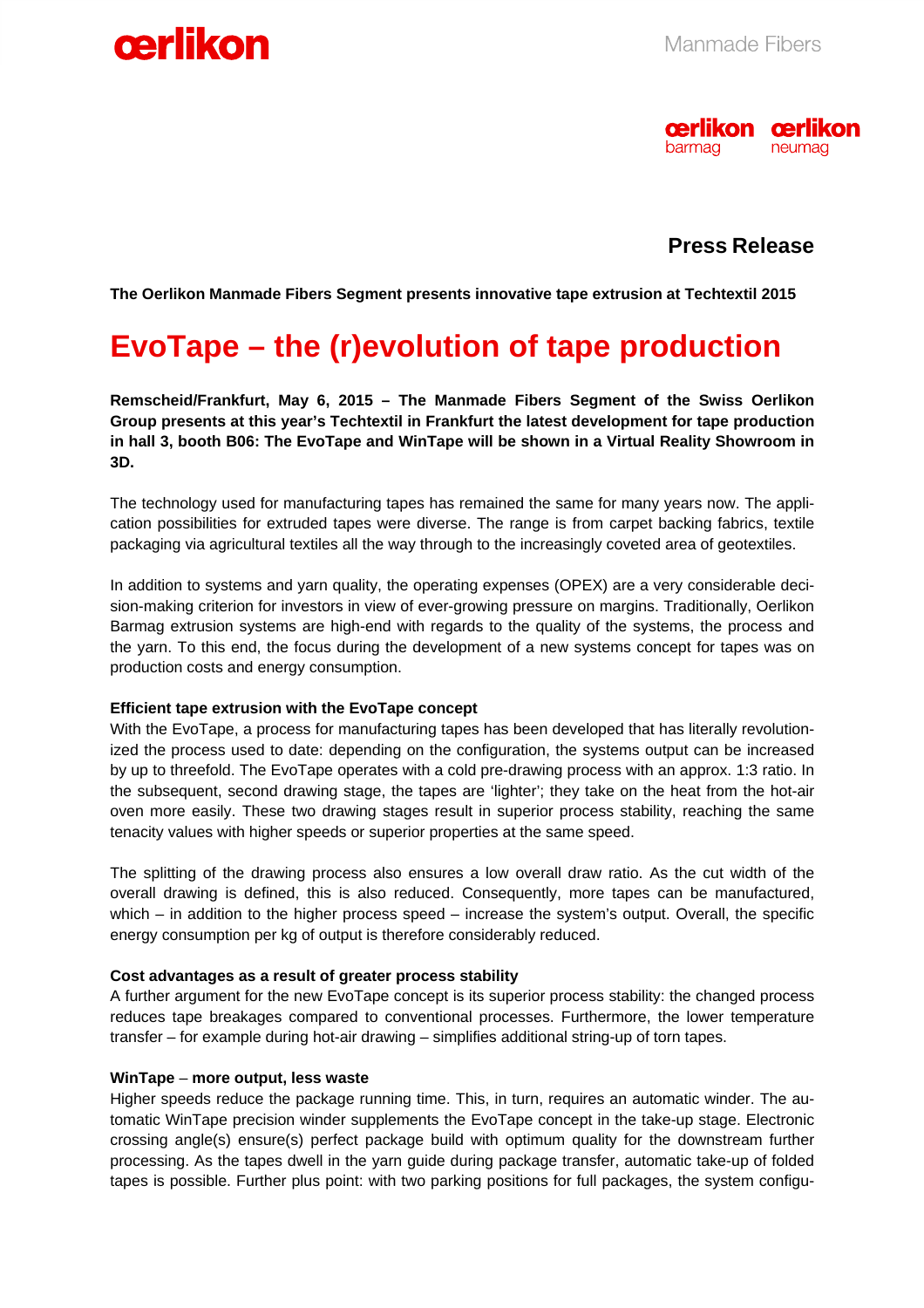



### **Press Release**

**The Oerlikon Manmade Fibers Segment presents innovative tape extrusion at Techtextil 2015** 

### **EvoTape – the (r)evolution of tape production**

**Remscheid/Frankfurt, May 6, 2015 – The Manmade Fibers Segment of the Swiss Oerlikon Group presents at this year's Techtextil in Frankfurt the latest development for tape production in hall 3, booth B06: The EvoTape and WinTape will be shown in a Virtual Reality Showroom in 3D.** 

The technology used for manufacturing tapes has remained the same for many years now. The application possibilities for extruded tapes were diverse. The range is from carpet backing fabrics, textile packaging via agricultural textiles all the way through to the increasingly coveted area of geotextiles.

In addition to systems and yarn quality, the operating expenses (OPEX) are a very considerable decision-making criterion for investors in view of ever-growing pressure on margins. Traditionally, Oerlikon Barmag extrusion systems are high-end with regards to the quality of the systems, the process and the yarn. To this end, the focus during the development of a new systems concept for tapes was on production costs and energy consumption.

#### **Efficient tape extrusion with the EvoTape concept**

With the EvoTape, a process for manufacturing tapes has been developed that has literally revolutionized the process used to date: depending on the configuration, the systems output can be increased by up to threefold. The EvoTape operates with a cold pre-drawing process with an approx. 1:3 ratio. In the subsequent, second drawing stage, the tapes are 'lighter'; they take on the heat from the hot-air oven more easily. These two drawing stages result in superior process stability, reaching the same tenacity values with higher speeds or superior properties at the same speed.

The splitting of the drawing process also ensures a low overall draw ratio. As the cut width of the overall drawing is defined, this is also reduced. Consequently, more tapes can be manufactured, which – in addition to the higher process speed – increase the system's output. Overall, the specific energy consumption per kg of output is therefore considerably reduced.

#### **Cost advantages as a result of greater process stability**

A further argument for the new EvoTape concept is its superior process stability: the changed process reduces tape breakages compared to conventional processes. Furthermore, the lower temperature transfer – for example during hot-air drawing – simplifies additional string-up of torn tapes.

#### **WinTape** – **more output, less waste**

Higher speeds reduce the package running time. This, in turn, requires an automatic winder. The automatic WinTape precision winder supplements the EvoTape concept in the take-up stage. Electronic crossing angle(s) ensure(s) perfect package build with optimum quality for the downstream further processing. As the tapes dwell in the yarn guide during package transfer, automatic take-up of folded tapes is possible. Further plus point: with two parking positions for full packages, the system configu-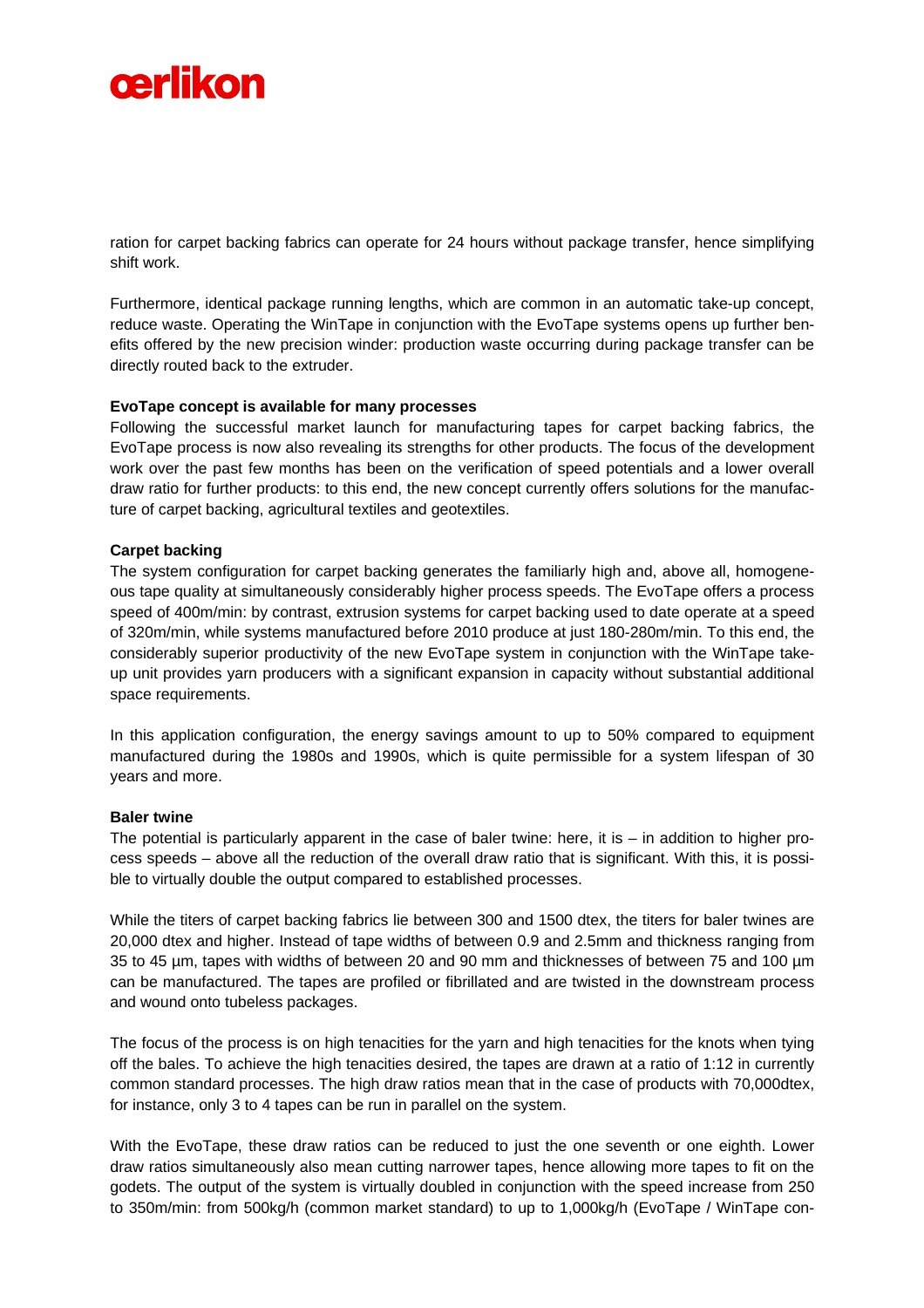## oerlikon

ration for carpet backing fabrics can operate for 24 hours without package transfer, hence simplifying shift work.

Furthermore, identical package running lengths, which are common in an automatic take-up concept, reduce waste. Operating the WinTape in conjunction with the EvoTape systems opens up further benefits offered by the new precision winder: production waste occurring during package transfer can be directly routed back to the extruder.

#### **EvoTape concept is available for many processes**

Following the successful market launch for manufacturing tapes for carpet backing fabrics, the EvoTape process is now also revealing its strengths for other products. The focus of the development work over the past few months has been on the verification of speed potentials and a lower overall draw ratio for further products: to this end, the new concept currently offers solutions for the manufacture of carpet backing, agricultural textiles and geotextiles.

#### **Carpet backing**

The system configuration for carpet backing generates the familiarly high and, above all, homogeneous tape quality at simultaneously considerably higher process speeds. The EvoTape offers a process speed of 400m/min: by contrast, extrusion systems for carpet backing used to date operate at a speed of 320m/min, while systems manufactured before 2010 produce at just 180-280m/min. To this end, the considerably superior productivity of the new EvoTape system in conjunction with the WinTape takeup unit provides yarn producers with a significant expansion in capacity without substantial additional space requirements.

In this application configuration, the energy savings amount to up to 50% compared to equipment manufactured during the 1980s and 1990s, which is quite permissible for a system lifespan of 30 years and more.

#### **Baler twine**

The potential is particularly apparent in the case of baler twine: here, it is  $-$  in addition to higher process speeds – above all the reduction of the overall draw ratio that is significant. With this, it is possible to virtually double the output compared to established processes.

While the titers of carpet backing fabrics lie between 300 and 1500 dtex, the titers for baler twines are 20,000 dtex and higher. Instead of tape widths of between 0.9 and 2.5mm and thickness ranging from 35 to 45 µm, tapes with widths of between 20 and 90 mm and thicknesses of between 75 and 100 µm can be manufactured. The tapes are profiled or fibrillated and are twisted in the downstream process and wound onto tubeless packages.

The focus of the process is on high tenacities for the yarn and high tenacities for the knots when tying off the bales. To achieve the high tenacities desired, the tapes are drawn at a ratio of 1:12 in currently common standard processes. The high draw ratios mean that in the case of products with 70,000dtex, for instance, only 3 to 4 tapes can be run in parallel on the system.

With the EvoTape, these draw ratios can be reduced to just the one seventh or one eighth. Lower draw ratios simultaneously also mean cutting narrower tapes, hence allowing more tapes to fit on the godets. The output of the system is virtually doubled in conjunction with the speed increase from 250 to 350m/min: from 500kg/h (common market standard) to up to 1,000kg/h (EvoTape / WinTape con-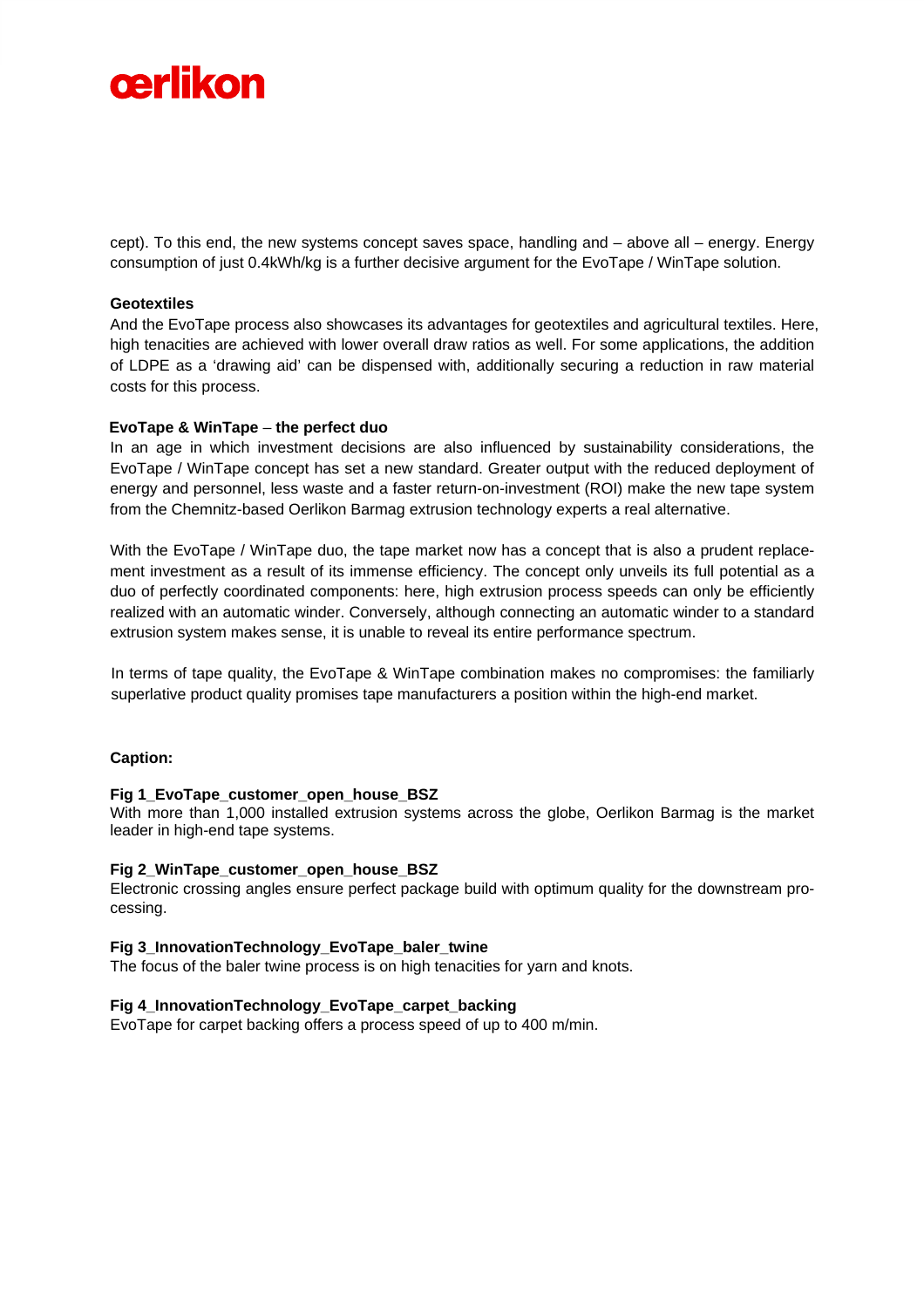

cept). To this end, the new systems concept saves space, handling and – above all – energy. Energy consumption of just 0.4kWh/kg is a further decisive argument for the EvoTape / WinTape solution.

#### **Geotextiles**

And the EvoTape process also showcases its advantages for geotextiles and agricultural textiles. Here, high tenacities are achieved with lower overall draw ratios as well. For some applications, the addition of LDPE as a 'drawing aid' can be dispensed with, additionally securing a reduction in raw material costs for this process.

#### **EvoTape & WinTape** – **the perfect duo**

In an age in which investment decisions are also influenced by sustainability considerations, the EvoTape / WinTape concept has set a new standard. Greater output with the reduced deployment of energy and personnel, less waste and a faster return-on-investment (ROI) make the new tape system from the Chemnitz-based Oerlikon Barmag extrusion technology experts a real alternative.

With the EvoTape / WinTape duo, the tape market now has a concept that is also a prudent replacement investment as a result of its immense efficiency. The concept only unveils its full potential as a duo of perfectly coordinated components: here, high extrusion process speeds can only be efficiently realized with an automatic winder. Conversely, although connecting an automatic winder to a standard extrusion system makes sense, it is unable to reveal its entire performance spectrum.

In terms of tape quality, the EvoTape & WinTape combination makes no compromises: the familiarly superlative product quality promises tape manufacturers a position within the high-end market.

#### **Caption:**

#### **Fig 1\_EvoTape\_customer\_open\_house\_BSZ**

With more than 1,000 installed extrusion systems across the globe, Oerlikon Barmag is the market leader in high-end tape systems.

#### **Fig 2\_WinTape\_customer\_open\_house\_BSZ**

Electronic crossing angles ensure perfect package build with optimum quality for the downstream processing.

#### **Fig 3\_InnovationTechnology\_EvoTape\_baler\_twine**

The focus of the baler twine process is on high tenacities for yarn and knots.

#### **Fig 4\_InnovationTechnology\_EvoTape\_carpet\_backing**

EvoTape for carpet backing offers a process speed of up to 400 m/min.